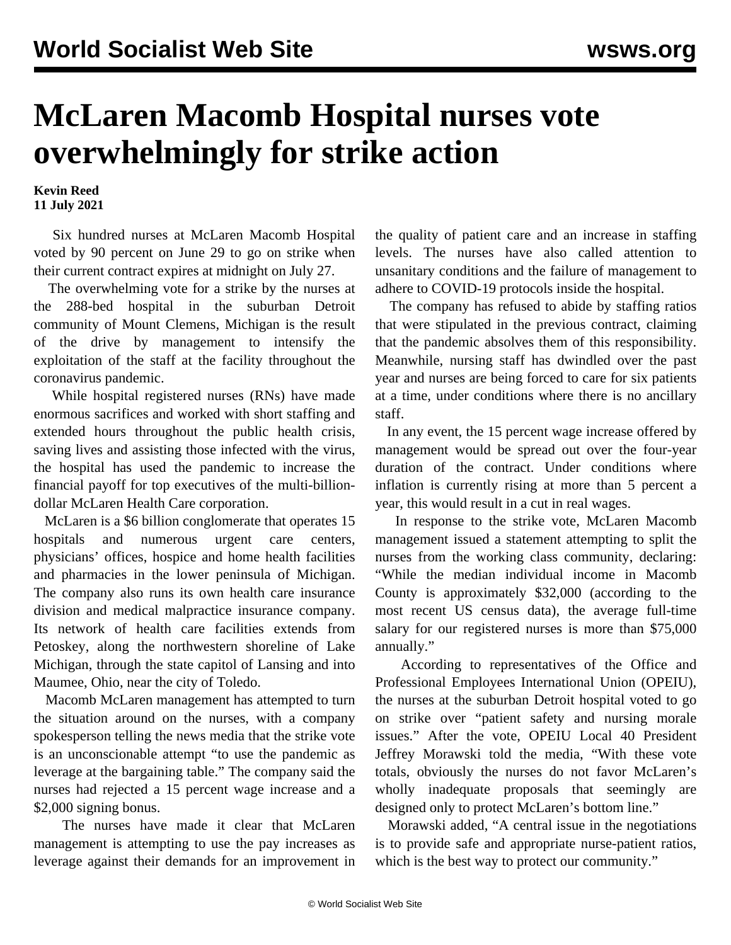## **McLaren Macomb Hospital nurses vote overwhelmingly for strike action**

**Kevin Reed 11 July 2021**

 Six hundred nurses at McLaren Macomb Hospital voted by 90 percent on June 29 to go on strike when their current contract expires at midnight on July 27.

 The overwhelming vote for a strike by the nurses at the 288-bed hospital in the suburban Detroit community of Mount Clemens, Michigan is the result of the drive by management to intensify the exploitation of the staff at the facility throughout the coronavirus pandemic.

 While hospital registered nurses (RNs) have made enormous sacrifices and worked with short staffing and extended hours throughout the public health crisis, saving lives and assisting those infected with the virus, the hospital has used the pandemic to increase the financial payoff for top executives of the multi-billiondollar McLaren Health Care corporation.

 McLaren is a \$6 billion conglomerate that operates 15 hospitals and numerous urgent care centers, physicians' offices, hospice and home health facilities and pharmacies in the lower peninsula of Michigan. The company also runs its own health care insurance division and medical malpractice insurance company. Its network of health care facilities extends from Petoskey, along the northwestern shoreline of Lake Michigan, through the state capitol of Lansing and into Maumee, Ohio, near the city of Toledo.

 Macomb McLaren management has attempted to turn the situation around on the nurses, with a company spokesperson telling the news media that the strike vote is an unconscionable attempt "to use the pandemic as leverage at the bargaining table." The company said the nurses had rejected a 15 percent wage increase and a \$2,000 signing bonus.

 The nurses have made it clear that McLaren management is attempting to use the pay increases as leverage against their demands for an improvement in the quality of patient care and an increase in staffing levels. The nurses have also called attention to unsanitary conditions and the failure of management to adhere to COVID-19 protocols inside the hospital.

 The company has refused to abide by staffing ratios that were stipulated in the previous contract, claiming that the pandemic absolves them of this responsibility. Meanwhile, nursing staff has dwindled over the past year and nurses are being forced to care for six patients at a time, under conditions where there is no ancillary staff.

 In any event, the 15 percent wage increase offered by management would be spread out over the four-year duration of the contract. Under conditions where inflation is currently rising at more than 5 percent a year, this would result in a cut in real wages.

 In response to the strike vote, McLaren Macomb management issued a statement attempting to split the nurses from the working class community, declaring: "While the median individual income in Macomb County is approximately \$32,000 (according to the most recent US census data), the average full-time salary for our registered nurses is more than \$75,000 annually."

 According to representatives of the Office and Professional Employees International Union (OPEIU), the nurses at the suburban Detroit hospital voted to go on strike over "patient safety and nursing morale issues." After the vote, OPEIU Local 40 President Jeffrey Morawski told the media, "With these vote totals, obviously the nurses do not favor McLaren's wholly inadequate proposals that seemingly are designed only to protect McLaren's bottom line."

 Morawski added, "A central issue in the negotiations is to provide safe and appropriate nurse-patient ratios, which is the best way to protect our community."